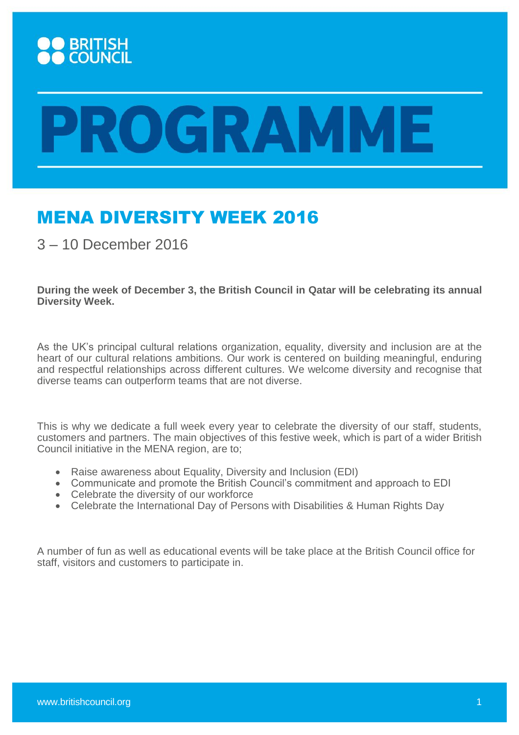

## **YOGRAMME**

## MENA DIVERSITY WEEK 2016

3 – 10 December 2016

**During the week of December 3, the British Council in Qatar will be celebrating its annual Diversity Week.**

As the UK's principal cultural relations organization, equality, diversity and inclusion are at the heart of our cultural relations ambitions. Our work is centered on building meaningful, enduring and respectful relationships across different cultures. We welcome diversity and recognise that diverse teams can outperform teams that are not diverse.

This is why we dedicate a full week every year to celebrate the diversity of our staff, students, customers and partners. The main objectives of this festive week, which is part of a wider British Council initiative in the MENA region, are to;

- Raise awareness about Equality, Diversity and Inclusion (EDI)
- Communicate and promote the British Council's commitment and approach to EDI
- Celebrate the diversity of our workforce
- Celebrate the International Day of Persons with Disabilities & Human Rights Day

A number of fun as well as educational events will be take place at the British Council office for staff, visitors and customers to participate in.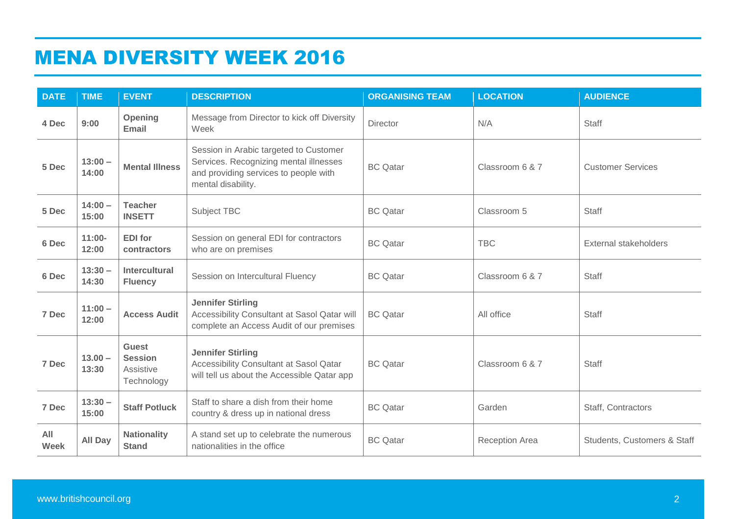## MENA DIVERSITY WEEK 2016

| <b>DATE</b>        | <b>TIME</b>        | <b>EVENT</b>                                              | <b>DESCRIPTION</b>                                                                                                                              | <b>ORGANISING TEAM</b> | <b>LOCATION</b>       | <b>AUDIENCE</b>              |
|--------------------|--------------------|-----------------------------------------------------------|-------------------------------------------------------------------------------------------------------------------------------------------------|------------------------|-----------------------|------------------------------|
| 4 Dec              | 9:00               | Opening<br>Email                                          | Message from Director to kick off Diversity<br>Week                                                                                             | <b>Director</b>        | N/A                   | <b>Staff</b>                 |
| 5 Dec              | $13:00 -$<br>14:00 | <b>Mental Illness</b>                                     | Session in Arabic targeted to Customer<br>Services. Recognizing mental illnesses<br>and providing services to people with<br>mental disability. | <b>BC</b> Qatar        | Classroom 6 & 7       | <b>Customer Services</b>     |
| 5 Dec              | $14:00 -$<br>15:00 | <b>Teacher</b><br><b>INSETT</b>                           | Subject TBC                                                                                                                                     | <b>BC</b> Qatar        | Classroom 5           | <b>Staff</b>                 |
| 6 Dec              | $11:00 -$<br>12:00 | <b>EDI</b> for<br>contractors                             | Session on general EDI for contractors<br>who are on premises                                                                                   | <b>BC</b> Qatar        | <b>TBC</b>            | <b>External stakeholders</b> |
| 6 Dec              | $13:30 -$<br>14:30 | <b>Intercultural</b><br><b>Fluency</b>                    | Session on Intercultural Fluency                                                                                                                | <b>BC</b> Qatar        | Classroom 6 & 7       | <b>Staff</b>                 |
| 7 Dec              | $11:00 -$<br>12:00 | <b>Access Audit</b>                                       | <b>Jennifer Stirling</b><br>Accessibility Consultant at Sasol Qatar will<br>complete an Access Audit of our premises                            | <b>BC</b> Qatar        | All office            | <b>Staff</b>                 |
| 7 Dec              | $13.00 -$<br>13:30 | <b>Guest</b><br><b>Session</b><br>Assistive<br>Technology | <b>Jennifer Stirling</b><br>Accessibility Consultant at Sasol Qatar<br>will tell us about the Accessible Qatar app                              | <b>BC</b> Qatar        | Classroom 6 & 7       | <b>Staff</b>                 |
| 7 Dec              | $13:30 -$<br>15:00 | <b>Staff Potluck</b>                                      | Staff to share a dish from their home<br>country & dress up in national dress                                                                   | <b>BC</b> Qatar        | Garden                | Staff, Contractors           |
| All<br><b>Week</b> | <b>All Day</b>     | <b>Nationality</b><br><b>Stand</b>                        | A stand set up to celebrate the numerous<br>nationalities in the office                                                                         | <b>BC</b> Qatar        | <b>Reception Area</b> | Students, Customers & Staff  |